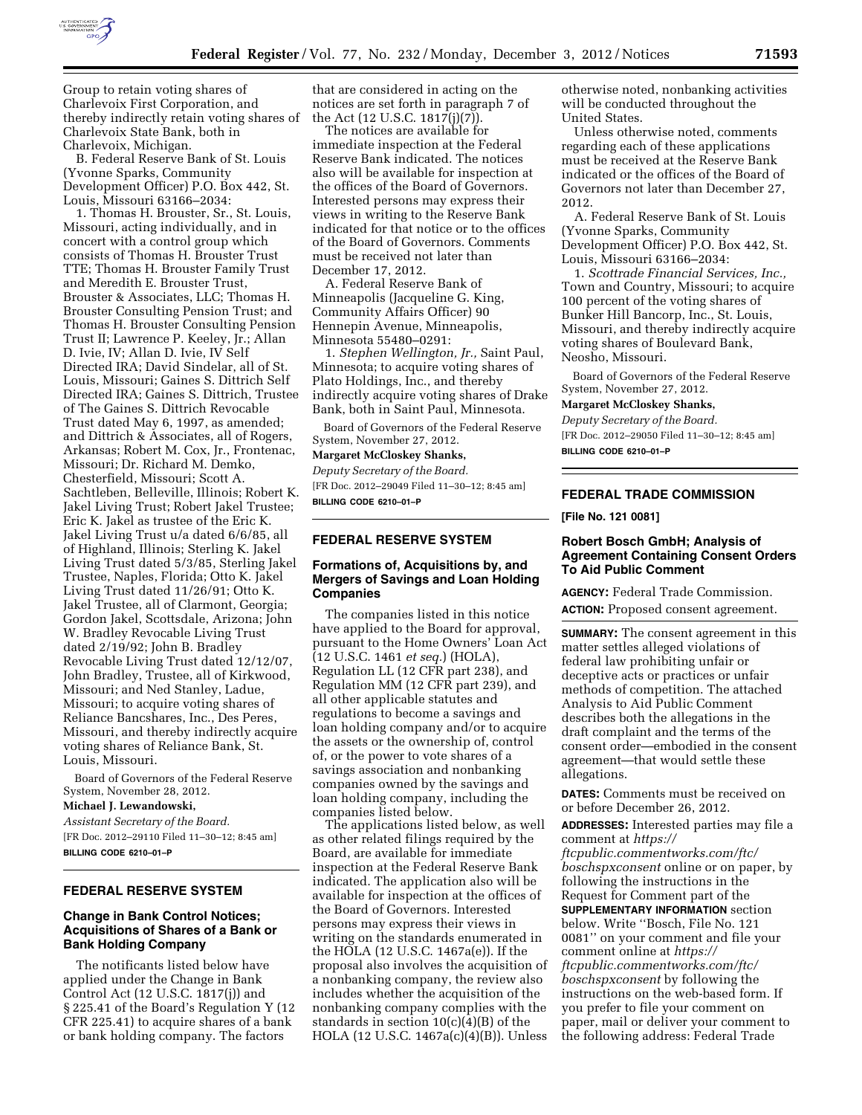

Group to retain voting shares of Charlevoix First Corporation, and thereby indirectly retain voting shares of Charlevoix State Bank, both in Charlevoix, Michigan.

B. Federal Reserve Bank of St. Louis (Yvonne Sparks, Community Development Officer) P.O. Box 442, St. Louis, Missouri 63166–2034:

1. Thomas H. Brouster, Sr., St. Louis, Missouri, acting individually, and in concert with a control group which consists of Thomas H. Brouster Trust TTE; Thomas H. Brouster Family Trust and Meredith E. Brouster Trust, Brouster & Associates, LLC; Thomas H. Brouster Consulting Pension Trust; and Thomas H. Brouster Consulting Pension Trust II; Lawrence P. Keeley, Jr.; Allan D. Ivie, IV; Allan D. Ivie, IV Self Directed IRA; David Sindelar, all of St. Louis, Missouri; Gaines S. Dittrich Self Directed IRA; Gaines S. Dittrich, Trustee of The Gaines S. Dittrich Revocable Trust dated May 6, 1997, as amended; and Dittrich & Associates, all of Rogers, Arkansas; Robert M. Cox, Jr., Frontenac, Missouri; Dr. Richard M. Demko, Chesterfield, Missouri; Scott A. Sachtleben, Belleville, Illinois; Robert K. Jakel Living Trust; Robert Jakel Trustee; Eric K. Jakel as trustee of the Eric K. Jakel Living Trust u/a dated 6/6/85, all of Highland, Illinois; Sterling K. Jakel Living Trust dated 5/3/85, Sterling Jakel Trustee, Naples, Florida; Otto K. Jakel Living Trust dated 11/26/91; Otto K. Jakel Trustee, all of Clarmont, Georgia; Gordon Jakel, Scottsdale, Arizona; John W. Bradley Revocable Living Trust dated 2/19/92; John B. Bradley Revocable Living Trust dated 12/12/07, John Bradley, Trustee, all of Kirkwood, Missouri; and Ned Stanley, Ladue, Missouri; to acquire voting shares of Reliance Bancshares, Inc., Des Peres, Missouri, and thereby indirectly acquire voting shares of Reliance Bank, St. Louis, Missouri.

Board of Governors of the Federal Reserve System, November 28, 2012.

**Michael J. Lewandowski,** 

*Assistant Secretary of the Board.* 

[FR Doc. 2012–29110 Filed 11–30–12; 8:45 am] **BILLING CODE 6210–01–P** 

## **FEDERAL RESERVE SYSTEM**

## **Change in Bank Control Notices; Acquisitions of Shares of a Bank or Bank Holding Company**

The notificants listed below have applied under the Change in Bank Control Act (12 U.S.C. 1817(j)) and § 225.41 of the Board's Regulation Y (12 CFR 225.41) to acquire shares of a bank or bank holding company. The factors

that are considered in acting on the notices are set forth in paragraph 7 of the Act (12 U.S.C. 1817(j)(7)).

The notices are available for immediate inspection at the Federal Reserve Bank indicated. The notices also will be available for inspection at the offices of the Board of Governors. Interested persons may express their views in writing to the Reserve Bank indicated for that notice or to the offices of the Board of Governors. Comments must be received not later than December 17, 2012.

A. Federal Reserve Bank of Minneapolis (Jacqueline G. King, Community Affairs Officer) 90 Hennepin Avenue, Minneapolis, Minnesota 55480–0291:

1. *Stephen Wellington, Jr.,* Saint Paul, Minnesota; to acquire voting shares of Plato Holdings, Inc., and thereby indirectly acquire voting shares of Drake Bank, both in Saint Paul, Minnesota.

Board of Governors of the Federal Reserve System, November 27, 2012.

**Margaret McCloskey Shanks,** 

*Deputy Secretary of the Board.*  [FR Doc. 2012–29049 Filed 11–30–12; 8:45 am] **BILLING CODE 6210–01–P** 

#### **FEDERAL RESERVE SYSTEM**

# **Formations of, Acquisitions by, and Mergers of Savings and Loan Holding Companies**

The companies listed in this notice have applied to the Board for approval, pursuant to the Home Owners' Loan Act (12 U.S.C. 1461 *et seq.*) (HOLA), Regulation LL (12 CFR part 238), and Regulation MM (12 CFR part 239), and all other applicable statutes and regulations to become a savings and loan holding company and/or to acquire the assets or the ownership of, control of, or the power to vote shares of a savings association and nonbanking companies owned by the savings and loan holding company, including the companies listed below.

The applications listed below, as well as other related filings required by the Board, are available for immediate inspection at the Federal Reserve Bank indicated. The application also will be available for inspection at the offices of the Board of Governors. Interested persons may express their views in writing on the standards enumerated in the HOLA (12 U.S.C. 1467a(e)). If the proposal also involves the acquisition of a nonbanking company, the review also includes whether the acquisition of the nonbanking company complies with the standards in section 10(c)(4)(B) of the HOLA (12 U.S.C. 1467a(c)(4)(B)). Unless

otherwise noted, nonbanking activities will be conducted throughout the United States.

Unless otherwise noted, comments regarding each of these applications must be received at the Reserve Bank indicated or the offices of the Board of Governors not later than December 27, 2012.

A. Federal Reserve Bank of St. Louis (Yvonne Sparks, Community Development Officer) P.O. Box 442, St. Louis, Missouri 63166–2034:

1. *Scottrade Financial Services, Inc.,*  Town and Country, Missouri; to acquire 100 percent of the voting shares of Bunker Hill Bancorp, Inc., St. Louis, Missouri, and thereby indirectly acquire voting shares of Boulevard Bank, Neosho, Missouri.

Board of Governors of the Federal Reserve System, November 27, 2012.

**Margaret McCloskey Shanks,** 

*Deputy Secretary of the Board.*  [FR Doc. 2012–29050 Filed 11–30–12; 8:45 am]

**BILLING CODE 6210–01–P** 

## **FEDERAL TRADE COMMISSION**

## **[File No. 121 0081]**

## **Robert Bosch GmbH; Analysis of Agreement Containing Consent Orders To Aid Public Comment**

**AGENCY:** Federal Trade Commission. **ACTION:** Proposed consent agreement.

**SUMMARY:** The consent agreement in this matter settles alleged violations of federal law prohibiting unfair or deceptive acts or practices or unfair methods of competition. The attached Analysis to Aid Public Comment describes both the allegations in the draft complaint and the terms of the consent order—embodied in the consent agreement—that would settle these allegations.

**DATES:** Comments must be received on or before December 26, 2012.

**ADDRESSES:** Interested parties may file a comment at *[https://](https://ftcpublic.commentworks.com/ftc/boschspxconsent)* 

*[ftcpublic.commentworks.com/ftc/](https://ftcpublic.commentworks.com/ftc/boschspxconsent)  [boschspxconsent](https://ftcpublic.commentworks.com/ftc/boschspxconsent)* online or on paper, by following the instructions in the Request for Comment part of the **SUPPLEMENTARY INFORMATION** section below. Write ''Bosch, File No. 121 0081'' on your comment and file your comment online at *[https://](https://ftcpublic.commentworks.com/ftc/boschspxconsent) [ftcpublic.commentworks.com/ftc/](https://ftcpublic.commentworks.com/ftc/boschspxconsent)  [boschspxconsent](https://ftcpublic.commentworks.com/ftc/boschspxconsent)* by following the instructions on the web-based form. If you prefer to file your comment on paper, mail or deliver your comment to the following address: Federal Trade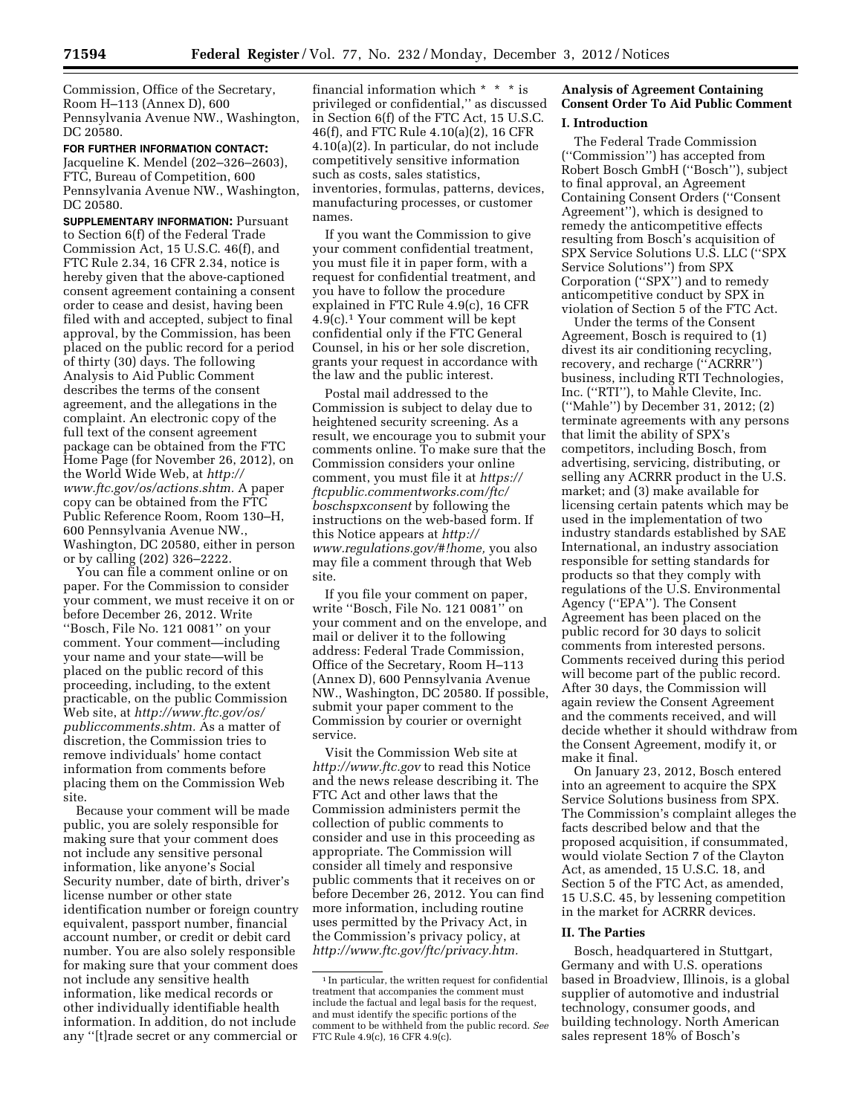Commission, Office of the Secretary, Room H–113 (Annex D), 600 Pennsylvania Avenue NW., Washington, DC 20580.

**FOR FURTHER INFORMATION CONTACT:**  Jacqueline K. Mendel (202–326–2603), FTC, Bureau of Competition, 600 Pennsylvania Avenue NW., Washington, DC 20580.

**SUPPLEMENTARY INFORMATION:** Pursuant to Section 6(f) of the Federal Trade Commission Act, 15 U.S.C. 46(f), and FTC Rule 2.34, 16 CFR 2.34, notice is hereby given that the above-captioned consent agreement containing a consent order to cease and desist, having been filed with and accepted, subject to final approval, by the Commission, has been placed on the public record for a period of thirty (30) days. The following Analysis to Aid Public Comment describes the terms of the consent agreement, and the allegations in the complaint. An electronic copy of the full text of the consent agreement package can be obtained from the FTC Home Page (for November 26, 2012), on the World Wide Web, at *[http://](http://www.ftc.gov/os/actions.shtm) [www.ftc.gov/os/actions.shtm.](http://www.ftc.gov/os/actions.shtm)* A paper copy can be obtained from the FTC Public Reference Room, Room 130–H, 600 Pennsylvania Avenue NW., Washington, DC 20580, either in person or by calling (202) 326–2222.

You can file a comment online or on paper. For the Commission to consider your comment, we must receive it on or before December 26, 2012. Write ''Bosch, File No. 121 0081'' on your comment. Your comment—including your name and your state—will be placed on the public record of this proceeding, including, to the extent practicable, on the public Commission Web site, at *[http://www.ftc.gov/os/](http://www.ftc.gov/os/publiccomments.shtm) [publiccomments.shtm.](http://www.ftc.gov/os/publiccomments.shtm)* As a matter of discretion, the Commission tries to remove individuals' home contact information from comments before placing them on the Commission Web site.

Because your comment will be made public, you are solely responsible for making sure that your comment does not include any sensitive personal information, like anyone's Social Security number, date of birth, driver's license number or other state identification number or foreign country equivalent, passport number, financial account number, or credit or debit card number. You are also solely responsible for making sure that your comment does not include any sensitive health information, like medical records or other individually identifiable health information. In addition, do not include any ''[t]rade secret or any commercial or

financial information which \* \* \* is privileged or confidential,'' as discussed in Section 6(f) of the FTC Act, 15 U.S.C. 46(f), and FTC Rule 4.10(a)(2), 16 CFR 4.10(a)(2). In particular, do not include competitively sensitive information such as costs, sales statistics, inventories, formulas, patterns, devices, manufacturing processes, or customer names.

If you want the Commission to give your comment confidential treatment, you must file it in paper form, with a request for confidential treatment, and you have to follow the procedure explained in FTC Rule 4.9(c), 16 CFR 4.9(c).1 Your comment will be kept confidential only if the FTC General Counsel, in his or her sole discretion, grants your request in accordance with the law and the public interest.

Postal mail addressed to the Commission is subject to delay due to heightened security screening. As a result, we encourage you to submit your comments online. To make sure that the Commission considers your online comment, you must file it at *[https://](https://ftcpublic.commentworks.com/ftc/boschspxconsent) [ftcpublic.commentworks.com/ftc/](https://ftcpublic.commentworks.com/ftc/boschspxconsent)  [boschspxconsent](https://ftcpublic.commentworks.com/ftc/boschspxconsent)* by following the instructions on the web-based form. If this Notice appears at *[http://](http://www.regulations.gov/#!home) [www.regulations.gov/#!home,](http://www.regulations.gov/#!home)* you also may file a comment through that Web site.

If you file your comment on paper, write ''Bosch, File No. 121 0081'' on your comment and on the envelope, and mail or deliver it to the following address: Federal Trade Commission, Office of the Secretary, Room H–113 (Annex D), 600 Pennsylvania Avenue NW., Washington, DC 20580. If possible, submit your paper comment to the Commission by courier or overnight service.

Visit the Commission Web site at *<http://www.ftc.gov>*to read this Notice and the news release describing it. The FTC Act and other laws that the Commission administers permit the collection of public comments to consider and use in this proceeding as appropriate. The Commission will consider all timely and responsive public comments that it receives on or before December 26, 2012. You can find more information, including routine uses permitted by the Privacy Act, in the Commission's privacy policy, at *[http://www.ftc.gov/ftc/privacy.htm.](http://www.ftc.gov/ftc/privacy.htm)* 

# **Analysis of Agreement Containing Consent Order To Aid Public Comment**

#### **I. Introduction**

The Federal Trade Commission (''Commission'') has accepted from Robert Bosch GmbH (''Bosch''), subject to final approval, an Agreement Containing Consent Orders (''Consent Agreement''), which is designed to remedy the anticompetitive effects resulting from Bosch's acquisition of SPX Service Solutions U.S. LLC (''SPX Service Solutions'') from SPX Corporation (''SPX'') and to remedy anticompetitive conduct by SPX in violation of Section 5 of the FTC Act.

Under the terms of the Consent Agreement, Bosch is required to (1) divest its air conditioning recycling, recovery, and recharge (''ACRRR'') business, including RTI Technologies, Inc. (''RTI''), to Mahle Clevite, Inc. (''Mahle'') by December 31, 2012; (2) terminate agreements with any persons that limit the ability of SPX's competitors, including Bosch, from advertising, servicing, distributing, or selling any ACRRR product in the U.S. market; and (3) make available for licensing certain patents which may be used in the implementation of two industry standards established by SAE International, an industry association responsible for setting standards for products so that they comply with regulations of the U.S. Environmental Agency (''EPA''). The Consent Agreement has been placed on the public record for 30 days to solicit comments from interested persons. Comments received during this period will become part of the public record. After 30 days, the Commission will again review the Consent Agreement and the comments received, and will decide whether it should withdraw from the Consent Agreement, modify it, or make it final.

On January 23, 2012, Bosch entered into an agreement to acquire the SPX Service Solutions business from SPX. The Commission's complaint alleges the facts described below and that the proposed acquisition, if consummated, would violate Section 7 of the Clayton Act, as amended, 15 U.S.C. 18, and Section 5 of the FTC Act, as amended, 15 U.S.C. 45, by lessening competition in the market for ACRRR devices.

#### **II. The Parties**

Bosch, headquartered in Stuttgart, Germany and with U.S. operations based in Broadview, Illinois, is a global supplier of automotive and industrial technology, consumer goods, and building technology. North American sales represent 18% of Bosch's

<sup>&</sup>lt;sup>1</sup> In particular, the written request for confidential treatment that accompanies the comment must include the factual and legal basis for the request, and must identify the specific portions of the comment to be withheld from the public record. *See*  FTC Rule 4.9(c), 16 CFR 4.9(c).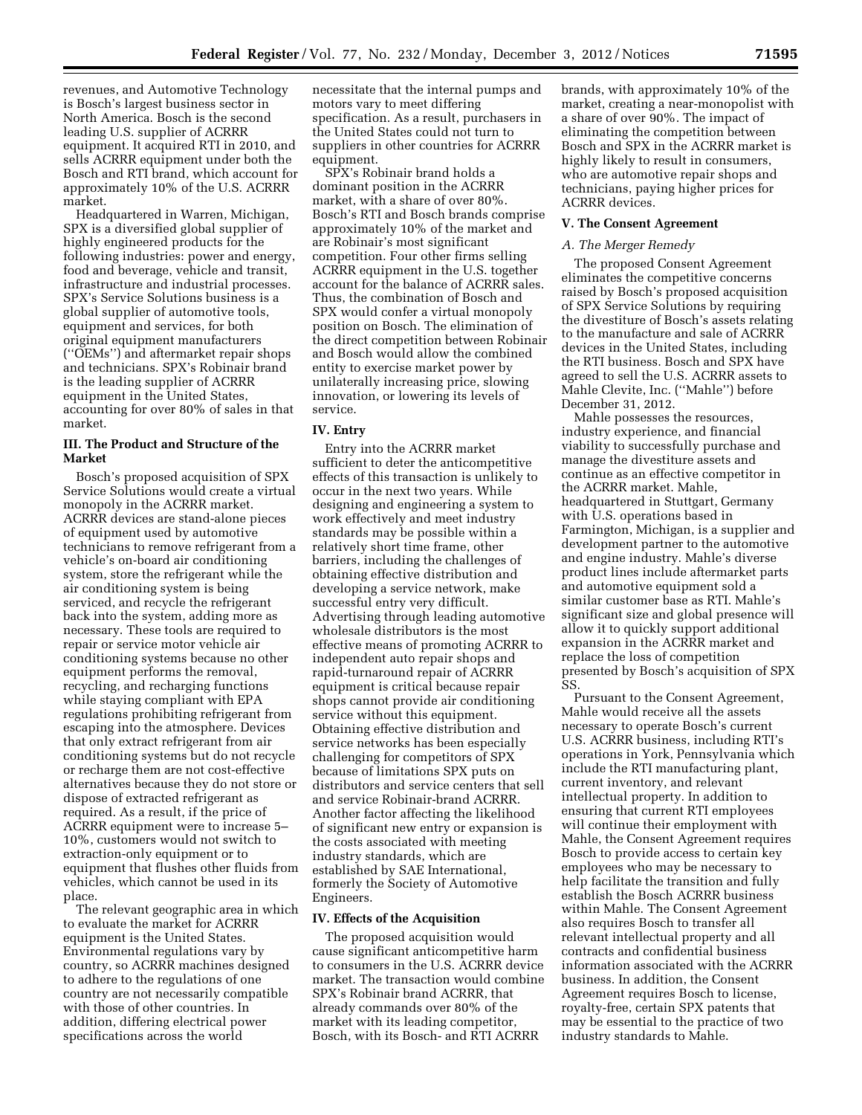revenues, and Automotive Technology is Bosch's largest business sector in North America. Bosch is the second leading U.S. supplier of ACRRR equipment. It acquired RTI in 2010, and sells ACRRR equipment under both the Bosch and RTI brand, which account for approximately 10% of the U.S. ACRRR market.

Headquartered in Warren, Michigan, SPX is a diversified global supplier of highly engineered products for the following industries: power and energy, food and beverage, vehicle and transit, infrastructure and industrial processes. SPX's Service Solutions business is a global supplier of automotive tools, equipment and services, for both original equipment manufacturers (''OEMs'') and aftermarket repair shops and technicians. SPX's Robinair brand is the leading supplier of ACRRR equipment in the United States, accounting for over 80% of sales in that market.

#### **III. The Product and Structure of the Market**

Bosch's proposed acquisition of SPX Service Solutions would create a virtual monopoly in the ACRRR market. ACRRR devices are stand-alone pieces of equipment used by automotive technicians to remove refrigerant from a vehicle's on-board air conditioning system, store the refrigerant while the air conditioning system is being serviced, and recycle the refrigerant back into the system, adding more as necessary. These tools are required to repair or service motor vehicle air conditioning systems because no other equipment performs the removal, recycling, and recharging functions while staying compliant with EPA regulations prohibiting refrigerant from escaping into the atmosphere. Devices that only extract refrigerant from air conditioning systems but do not recycle or recharge them are not cost-effective alternatives because they do not store or dispose of extracted refrigerant as required. As a result, if the price of ACRRR equipment were to increase 5– 10%, customers would not switch to extraction-only equipment or to equipment that flushes other fluids from vehicles, which cannot be used in its place.

The relevant geographic area in which to evaluate the market for ACRRR equipment is the United States. Environmental regulations vary by country, so ACRRR machines designed to adhere to the regulations of one country are not necessarily compatible with those of other countries. In addition, differing electrical power specifications across the world

necessitate that the internal pumps and motors vary to meet differing specification. As a result, purchasers in the United States could not turn to suppliers in other countries for ACRRR equipment.

SPX's Robinair brand holds a dominant position in the ACRRR market, with a share of over 80%. Bosch's RTI and Bosch brands comprise approximately 10% of the market and are Robinair's most significant competition. Four other firms selling ACRRR equipment in the U.S. together account for the balance of ACRRR sales. Thus, the combination of Bosch and SPX would confer a virtual monopoly position on Bosch. The elimination of the direct competition between Robinair and Bosch would allow the combined entity to exercise market power by unilaterally increasing price, slowing innovation, or lowering its levels of service.

## **IV. Entry**

Entry into the ACRRR market sufficient to deter the anticompetitive effects of this transaction is unlikely to occur in the next two years. While designing and engineering a system to work effectively and meet industry standards may be possible within a relatively short time frame, other barriers, including the challenges of obtaining effective distribution and developing a service network, make successful entry very difficult. Advertising through leading automotive wholesale distributors is the most effective means of promoting ACRRR to independent auto repair shops and rapid-turnaround repair of ACRRR equipment is critical because repair shops cannot provide air conditioning service without this equipment. Obtaining effective distribution and service networks has been especially challenging for competitors of SPX because of limitations SPX puts on distributors and service centers that sell and service Robinair-brand ACRRR. Another factor affecting the likelihood of significant new entry or expansion is the costs associated with meeting industry standards, which are established by SAE International, formerly the Society of Automotive Engineers.

#### **IV. Effects of the Acquisition**

The proposed acquisition would cause significant anticompetitive harm to consumers in the U.S. ACRRR device market. The transaction would combine SPX's Robinair brand ACRRR, that already commands over 80% of the market with its leading competitor, Bosch, with its Bosch- and RTI ACRRR

brands, with approximately 10% of the market, creating a near-monopolist with a share of over 90%. The impact of eliminating the competition between Bosch and SPX in the ACRRR market is highly likely to result in consumers, who are automotive repair shops and technicians, paying higher prices for ACRRR devices.

# **V. The Consent Agreement**

## *A. The Merger Remedy*

The proposed Consent Agreement eliminates the competitive concerns raised by Bosch's proposed acquisition of SPX Service Solutions by requiring the divestiture of Bosch's assets relating to the manufacture and sale of ACRRR devices in the United States, including the RTI business. Bosch and SPX have agreed to sell the U.S. ACRRR assets to Mahle Clevite, Inc. (''Mahle'') before December 31, 2012.

Mahle possesses the resources, industry experience, and financial viability to successfully purchase and manage the divestiture assets and continue as an effective competitor in the ACRRR market. Mahle, headquartered in Stuttgart, Germany with U.S. operations based in Farmington, Michigan, is a supplier and development partner to the automotive and engine industry. Mahle's diverse product lines include aftermarket parts and automotive equipment sold a similar customer base as RTI. Mahle's significant size and global presence will allow it to quickly support additional expansion in the ACRRR market and replace the loss of competition presented by Bosch's acquisition of SPX SS.

Pursuant to the Consent Agreement, Mahle would receive all the assets necessary to operate Bosch's current U.S. ACRRR business, including RTI's operations in York, Pennsylvania which include the RTI manufacturing plant, current inventory, and relevant intellectual property. In addition to ensuring that current RTI employees will continue their employment with Mahle, the Consent Agreement requires Bosch to provide access to certain key employees who may be necessary to help facilitate the transition and fully establish the Bosch ACRRR business within Mahle. The Consent Agreement also requires Bosch to transfer all relevant intellectual property and all contracts and confidential business information associated with the ACRRR business. In addition, the Consent Agreement requires Bosch to license, royalty-free, certain SPX patents that may be essential to the practice of two industry standards to Mahle.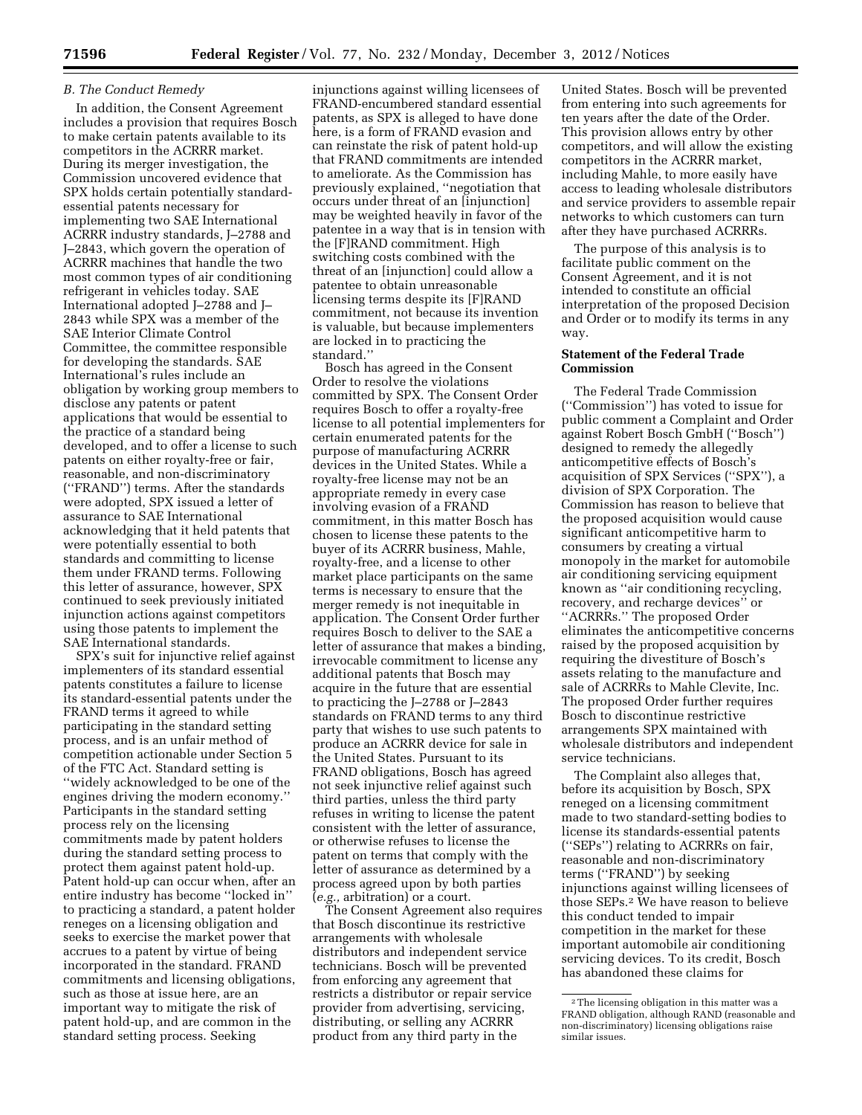# *B. The Conduct Remedy*

In addition, the Consent Agreement includes a provision that requires Bosch to make certain patents available to its competitors in the ACRRR market. During its merger investigation, the Commission uncovered evidence that SPX holds certain potentially standardessential patents necessary for implementing two SAE International ACRRR industry standards, J–2788 and J–2843, which govern the operation of ACRRR machines that handle the two most common types of air conditioning refrigerant in vehicles today. SAE International adopted J–2788 and J– 2843 while SPX was a member of the SAE Interior Climate Control Committee, the committee responsible for developing the standards. SAE International's rules include an obligation by working group members to disclose any patents or patent applications that would be essential to the practice of a standard being developed, and to offer a license to such patents on either royalty-free or fair, reasonable, and non-discriminatory (''FRAND'') terms. After the standards were adopted, SPX issued a letter of assurance to SAE International acknowledging that it held patents that were potentially essential to both standards and committing to license them under FRAND terms. Following this letter of assurance, however, SPX continued to seek previously initiated injunction actions against competitors using those patents to implement the SAE International standards.

SPX's suit for injunctive relief against implementers of its standard essential patents constitutes a failure to license its standard-essential patents under the FRAND terms it agreed to while participating in the standard setting process, and is an unfair method of competition actionable under Section 5 of the FTC Act. Standard setting is ''widely acknowledged to be one of the engines driving the modern economy.'' Participants in the standard setting process rely on the licensing commitments made by patent holders during the standard setting process to protect them against patent hold-up. Patent hold-up can occur when, after an entire industry has become ''locked in'' to practicing a standard, a patent holder reneges on a licensing obligation and seeks to exercise the market power that accrues to a patent by virtue of being incorporated in the standard. FRAND commitments and licensing obligations, such as those at issue here, are an important way to mitigate the risk of patent hold-up, and are common in the standard setting process. Seeking

injunctions against willing licensees of FRAND-encumbered standard essential patents, as SPX is alleged to have done here, is a form of FRAND evasion and can reinstate the risk of patent hold-up that FRAND commitments are intended to ameliorate. As the Commission has previously explained, ''negotiation that occurs under threat of an [injunction] may be weighted heavily in favor of the patentee in a way that is in tension with the [F]RAND commitment. High switching costs combined with the threat of an [injunction] could allow a patentee to obtain unreasonable licensing terms despite its [F]RAND commitment, not because its invention is valuable, but because implementers are locked in to practicing the standard.''

Bosch has agreed in the Consent Order to resolve the violations committed by SPX. The Consent Order requires Bosch to offer a royalty-free license to all potential implementers for certain enumerated patents for the purpose of manufacturing ACRRR devices in the United States. While a royalty-free license may not be an appropriate remedy in every case involving evasion of a FRAND commitment, in this matter Bosch has chosen to license these patents to the buyer of its ACRRR business, Mahle, royalty-free, and a license to other market place participants on the same terms is necessary to ensure that the merger remedy is not inequitable in application. The Consent Order further requires Bosch to deliver to the SAE a letter of assurance that makes a binding, irrevocable commitment to license any additional patents that Bosch may acquire in the future that are essential to practicing the J–2788 or J–2843 standards on FRAND terms to any third party that wishes to use such patents to produce an ACRRR device for sale in the United States. Pursuant to its FRAND obligations, Bosch has agreed not seek injunctive relief against such third parties, unless the third party refuses in writing to license the patent consistent with the letter of assurance, or otherwise refuses to license the patent on terms that comply with the letter of assurance as determined by a process agreed upon by both parties (*e.g.,* arbitration) or a court.

The Consent Agreement also requires that Bosch discontinue its restrictive arrangements with wholesale distributors and independent service technicians. Bosch will be prevented from enforcing any agreement that restricts a distributor or repair service provider from advertising, servicing, distributing, or selling any ACRRR product from any third party in the

United States. Bosch will be prevented from entering into such agreements for ten years after the date of the Order. This provision allows entry by other competitors, and will allow the existing competitors in the ACRRR market, including Mahle, to more easily have access to leading wholesale distributors and service providers to assemble repair networks to which customers can turn after they have purchased ACRRRs.

The purpose of this analysis is to facilitate public comment on the Consent Agreement, and it is not intended to constitute an official interpretation of the proposed Decision and Order or to modify its terms in any way.

# **Statement of the Federal Trade Commission**

The Federal Trade Commission (''Commission'') has voted to issue for public comment a Complaint and Order against Robert Bosch GmbH (''Bosch'') designed to remedy the allegedly anticompetitive effects of Bosch's acquisition of SPX Services (''SPX''), a division of SPX Corporation. The Commission has reason to believe that the proposed acquisition would cause significant anticompetitive harm to consumers by creating a virtual monopoly in the market for automobile air conditioning servicing equipment known as ''air conditioning recycling, recovery, and recharge devices'' or ''ACRRRs.'' The proposed Order eliminates the anticompetitive concerns raised by the proposed acquisition by requiring the divestiture of Bosch's assets relating to the manufacture and sale of ACRRRs to Mahle Clevite, Inc. The proposed Order further requires Bosch to discontinue restrictive arrangements SPX maintained with wholesale distributors and independent service technicians.

The Complaint also alleges that, before its acquisition by Bosch, SPX reneged on a licensing commitment made to two standard-setting bodies to license its standards-essential patents (''SEPs'') relating to ACRRRs on fair, reasonable and non-discriminatory terms (''FRAND'') by seeking injunctions against willing licensees of those SEPs.2 We have reason to believe this conduct tended to impair competition in the market for these important automobile air conditioning servicing devices. To its credit, Bosch has abandoned these claims for

<sup>2</sup>The licensing obligation in this matter was a FRAND obligation, although RAND (reasonable and non-discriminatory) licensing obligations raise similar issues.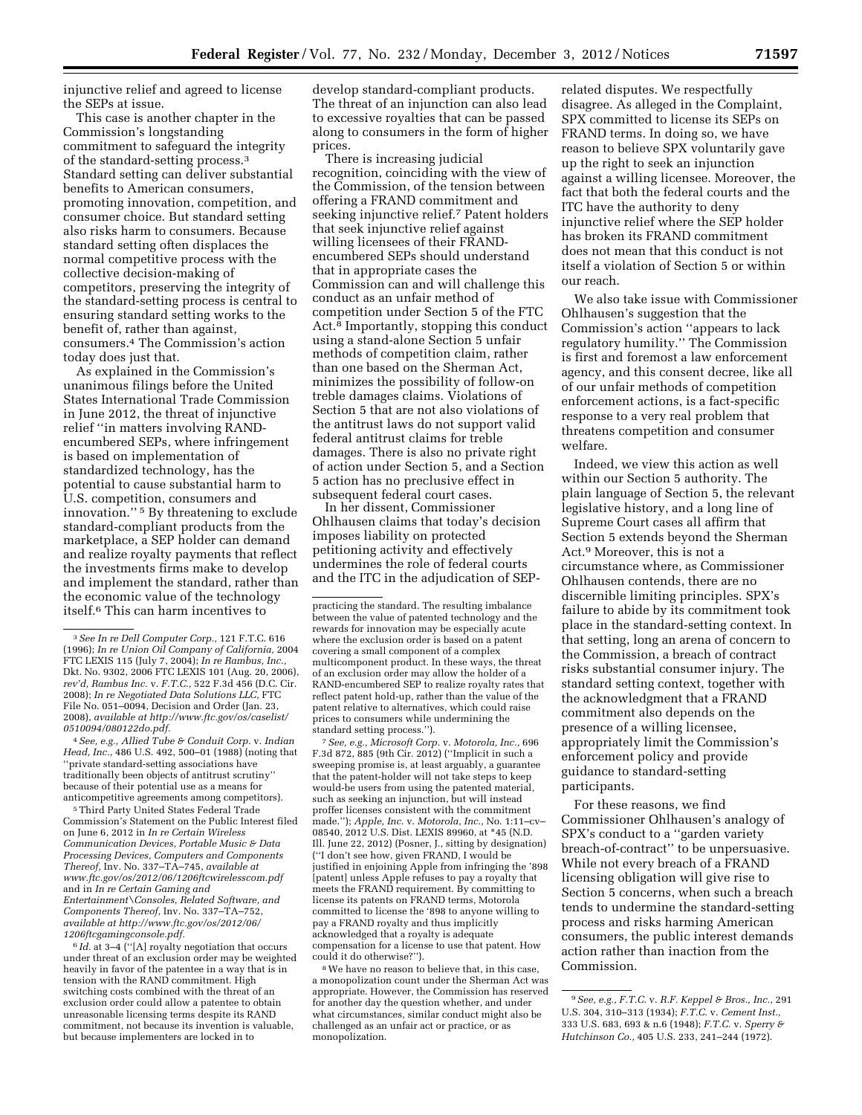injunctive relief and agreed to license the SEPs at issue.

This case is another chapter in the Commission's longstanding commitment to safeguard the integrity of the standard-setting process.3 Standard setting can deliver substantial benefits to American consumers, promoting innovation, competition, and consumer choice. But standard setting also risks harm to consumers. Because standard setting often displaces the normal competitive process with the collective decision-making of competitors, preserving the integrity of the standard-setting process is central to ensuring standard setting works to the benefit of, rather than against, consumers.4 The Commission's action today does just that.

As explained in the Commission's unanimous filings before the United States International Trade Commission in June 2012, the threat of injunctive relief ''in matters involving RANDencumbered SEPs, where infringement is based on implementation of standardized technology, has the potential to cause substantial harm to U.S. competition, consumers and innovation.'' 5 By threatening to exclude standard-compliant products from the marketplace, a SEP holder can demand and realize royalty payments that reflect the investments firms make to develop and implement the standard, rather than the economic value of the technology itself.6 This can harm incentives to

4*See, e.g., Allied Tube & Conduit Corp.* v. *Indian Head, Inc.,* 486 U.S. 492, 500–01 (1988) (noting that ''private standard-setting associations have traditionally been objects of antitrust scrutiny'' because of their potential use as a means for anticompetitive agreements among competitors).

5Third Party United States Federal Trade Commission's Statement on the Public Interest filed on June 6, 2012 in *In re Certain Wireless Communication Devices, Portable Music & Data Processing Devices, Computers and Components Thereof,* Inv. No. 337–TA–745, *available at [www.ftc.gov/os/2012/06/1206ftcwirelesscom.pdf](http://www.ftc.gov/os/2012/06/1206ftcwirelesscom.pdf)*  and in *In re Certain Gaming and Entertainment\Consoles, Related Software, and Components Thereof,* Inv. No. 337–TA–752, *available at [http://www.ftc.gov/os/2012/06/](http://www.ftc.gov/os/2012/06/1206ftcgamingconsole.pdf) [1206ftcgamingconsole.pdf.](http://www.ftc.gov/os/2012/06/1206ftcgamingconsole.pdf)* 

6 *Id.* at 3–4 (''[A] royalty negotiation that occurs under threat of an exclusion order may be weighted heavily in favor of the patentee in a way that is in tension with the RAND commitment. High switching costs combined with the threat of an exclusion order could allow a patentee to obtain unreasonable licensing terms despite its RAND commitment, not because its invention is valuable, but because implementers are locked in to

develop standard-compliant products. The threat of an injunction can also lead to excessive royalties that can be passed along to consumers in the form of higher prices.

There is increasing judicial recognition, coinciding with the view of the Commission, of the tension between offering a FRAND commitment and seeking injunctive relief.7 Patent holders that seek injunctive relief against willing licensees of their FRANDencumbered SEPs should understand that in appropriate cases the Commission can and will challenge this conduct as an unfair method of competition under Section 5 of the FTC Act.8 Importantly, stopping this conduct using a stand-alone Section 5 unfair methods of competition claim, rather than one based on the Sherman Act, minimizes the possibility of follow-on treble damages claims. Violations of Section 5 that are not also violations of the antitrust laws do not support valid federal antitrust claims for treble damages. There is also no private right of action under Section 5, and a Section 5 action has no preclusive effect in subsequent federal court cases.

In her dissent, Commissioner Ohlhausen claims that today's decision imposes liability on protected petitioning activity and effectively undermines the role of federal courts and the ITC in the adjudication of SEP-

7*See, e.g., Microsoft Corp.* v. *Motorola, Inc.,* 696 F.3d 872, 885 (9th Cir. 2012) (''Implicit in such a sweeping promise is, at least arguably, a guarantee that the patent-holder will not take steps to keep would-be users from using the patented material, such as seeking an injunction, but will instead proffer licenses consistent with the commitment made.''); *Apple, Inc.* v. *Motorola, Inc.,* No. 1:11–cv– 08540, 2012 U.S. Dist. LEXIS 89960, at \*45 (N.D. Ill. June 22, 2012) (Posner, J., sitting by designation) (''I don't see how, given FRAND, I would be justified in enjoining Apple from infringing the '898 [patent] unless Apple refuses to pay a royalty that meets the FRAND requirement. By committing to license its patents on FRAND terms, Motorola committed to license the '898 to anyone willing to pay a FRAND royalty and thus implicitly acknowledged that a royalty is adequate compensation for a license to use that patent. How could it do otherwise?'').

8We have no reason to believe that, in this case, a monopolization count under the Sherman Act was appropriate. However, the Commission has reserved for another day the question whether, and under what circumstances, similar conduct might also be challenged as an unfair act or practice, or as monopolization.

related disputes. We respectfully disagree. As alleged in the Complaint, SPX committed to license its SEPs on FRAND terms. In doing so, we have reason to believe SPX voluntarily gave up the right to seek an injunction against a willing licensee. Moreover, the fact that both the federal courts and the ITC have the authority to deny injunctive relief where the SEP holder has broken its FRAND commitment does not mean that this conduct is not itself a violation of Section 5 or within our reach.

We also take issue with Commissioner Ohlhausen's suggestion that the Commission's action ''appears to lack regulatory humility.'' The Commission is first and foremost a law enforcement agency, and this consent decree, like all of our unfair methods of competition enforcement actions, is a fact-specific response to a very real problem that threatens competition and consumer welfare.

Indeed, we view this action as well within our Section 5 authority. The plain language of Section 5, the relevant legislative history, and a long line of Supreme Court cases all affirm that Section 5 extends beyond the Sherman Act.9 Moreover, this is not a circumstance where, as Commissioner Ohlhausen contends, there are no discernible limiting principles. SPX's failure to abide by its commitment took place in the standard-setting context. In that setting, long an arena of concern to the Commission, a breach of contract risks substantial consumer injury. The standard setting context, together with the acknowledgment that a FRAND commitment also depends on the presence of a willing licensee, appropriately limit the Commission's enforcement policy and provide guidance to standard-setting participants.

For these reasons, we find Commissioner Ohlhausen's analogy of SPX's conduct to a ''garden variety breach-of-contract'' to be unpersuasive. While not every breach of a FRAND licensing obligation will give rise to Section 5 concerns, when such a breach tends to undermine the standard-setting process and risks harming American consumers, the public interest demands action rather than inaction from the Commission.

<sup>3</sup>*See In re Dell Computer Corp.,* 121 F.T.C. 616 (1996); *In re Union Oil Company of California,* 2004 FTC LEXIS 115 (July 7, 2004); *In re Rambus, Inc.,*  Dkt. No. 9302, 2006 FTC LEXIS 101 (Aug. 20, 2006), *rev'd, Rambus Inc.* v. *F.T.C.,* 522 F.3d 456 (D.C. Cir. 2008); *In re Negotiated Data Solutions LLC,* FTC File No. 051–0094, Decision and Order (Jan. 23, 2008), *available at [http://www.ftc.gov/os/caselist/](http://www.ftc.gov/os/caselist/0510094/080122do.pdf)  [0510094/080122do.pdf.](http://www.ftc.gov/os/caselist/0510094/080122do.pdf)* 

practicing the standard. The resulting imbalance between the value of patented technology and the rewards for innovation may be especially acute where the exclusion order is based on a patent covering a small component of a complex multicomponent product. In these ways, the threat of an exclusion order may allow the holder of a RAND-encumbered SEP to realize royalty rates that reflect patent hold-up, rather than the value of the patent relative to alternatives, which could raise prices to consumers while undermining the standard setting process.'').

<sup>9</sup>*See, e.g., F.T.C.* v. *R.F. Keppel & Bros., Inc.,* 291 U.S. 304, 310–313 (1934); *F.T.C.* v. *Cement Inst.,*  333 U.S. 683, 693 & n.6 (1948); *F.T.C.* v. *Sperry & Hutchinson Co.,* 405 U.S. 233, 241–244 (1972).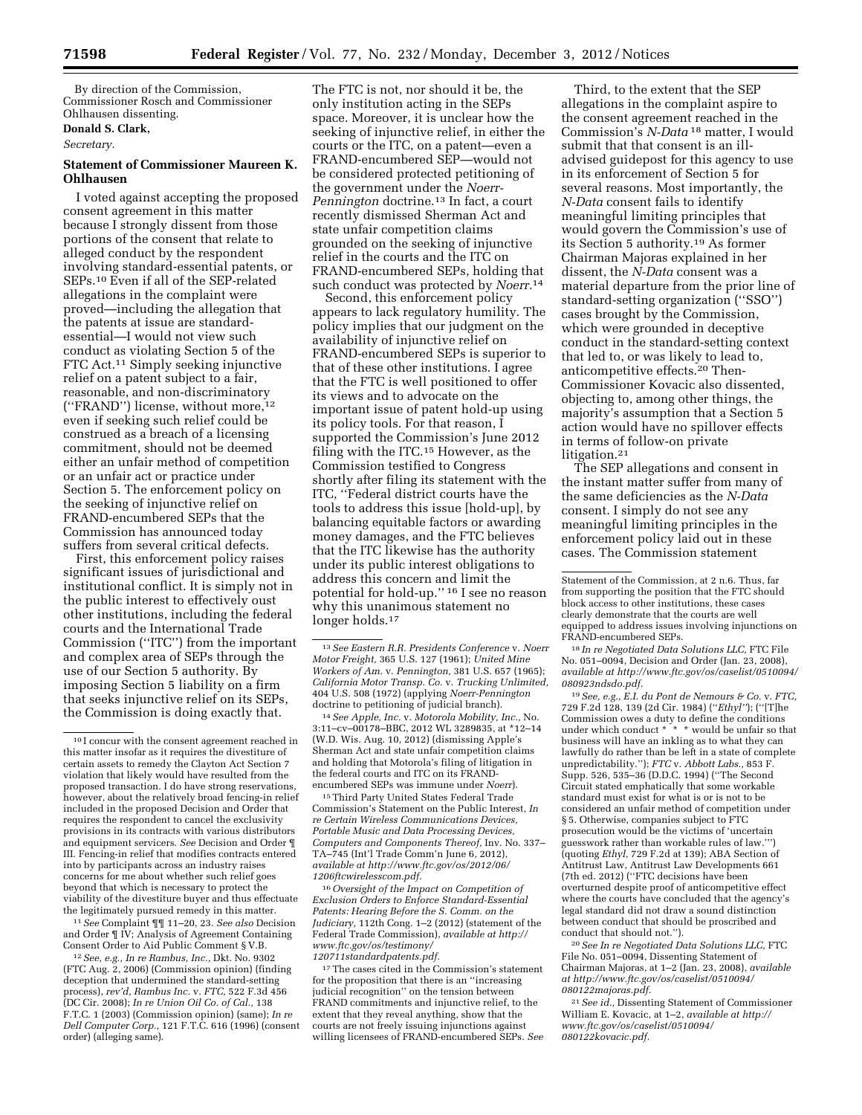By direction of the Commission, Commissioner Rosch and Commissioner Ohlhausen dissenting.

# **Donald S. Clark,**

*Secretary.* 

## **Statement of Commissioner Maureen K. Ohlhausen**

I voted against accepting the proposed consent agreement in this matter because I strongly dissent from those portions of the consent that relate to alleged conduct by the respondent involving standard-essential patents, or SEPs.10 Even if all of the SEP-related allegations in the complaint were proved—including the allegation that the patents at issue are standardessential—I would not view such conduct as violating Section 5 of the FTC Act.11 Simply seeking injunctive relief on a patent subject to a fair, reasonable, and non-discriminatory (''FRAND'') license, without more,12 even if seeking such relief could be construed as a breach of a licensing commitment, should not be deemed either an unfair method of competition or an unfair act or practice under Section 5. The enforcement policy on the seeking of injunctive relief on FRAND-encumbered SEPs that the Commission has announced today suffers from several critical defects.

First, this enforcement policy raises significant issues of jurisdictional and institutional conflict. It is simply not in the public interest to effectively oust other institutions, including the federal courts and the International Trade Commission (''ITC'') from the important and complex area of SEPs through the use of our Section 5 authority. By imposing Section 5 liability on a firm that seeks injunctive relief on its SEPs, the Commission is doing exactly that.

11*See* Complaint ¶¶ 11–20, 23. *See also* Decision and Order ¶ IV; Analysis of Agreement Containing Consent Order to Aid Public Comment § V.B.

The FTC is not, nor should it be, the only institution acting in the SEPs space. Moreover, it is unclear how the seeking of injunctive relief, in either the courts or the ITC, on a patent—even a FRAND-encumbered SEP—would not be considered protected petitioning of the government under the *Noerr-Pennington* doctrine.13 In fact, a court recently dismissed Sherman Act and state unfair competition claims grounded on the seeking of injunctive relief in the courts and the ITC on FRAND-encumbered SEPs, holding that such conduct was protected by *Noerr.*14

Second, this enforcement policy appears to lack regulatory humility. The policy implies that our judgment on the availability of injunctive relief on FRAND-encumbered SEPs is superior to that of these other institutions. I agree that the FTC is well positioned to offer its views and to advocate on the important issue of patent hold-up using its policy tools. For that reason, I supported the Commission's June 2012 filing with the ITC.15 However, as the Commission testified to Congress shortly after filing its statement with the ITC, ''Federal district courts have the tools to address this issue [hold-up], by balancing equitable factors or awarding money damages, and the FTC believes that the ITC likewise has the authority under its public interest obligations to address this concern and limit the potential for hold-up.'' 16 I see no reason why this unanimous statement no longer holds.<sup>17</sup>

14*See Apple, Inc.* v. *Motorola Mobility, Inc.,* No. 3:11–cv–00178–BBC, 2012 WL 3289835, at \*12–14 (W.D. Wis. Aug. 10, 2012) (dismissing Apple's Sherman Act and state unfair competition claims and holding that Motorola's filing of litigation in the federal courts and ITC on its FRANDencumbered SEPs was immune under *Noerr*).

15Third Party United States Federal Trade Commission's Statement on the Public Interest, *In re Certain Wireless Communications Devices, Portable Music and Data Processing Devices, Computers and Components Thereof,* Inv. No. 337– TA–745 (Int'l Trade Comm'n June 6, 2012), *available at [http://www.ftc.gov/os/2012/06/](http://www.ftc.gov/os/2012/06/1206ftcwirelesscom.pdf) [1206ftcwirelesscom.pdf.](http://www.ftc.gov/os/2012/06/1206ftcwirelesscom.pdf)* 

16*Oversight of the Impact on Competition of Exclusion Orders to Enforce Standard-Essential Patents: Hearing Before the S. Comm. on the Judiciary,* 112th Cong. 1–2 (2012) (statement of the Federal Trade Commission), *available at [http://](http://www.ftc.gov/os/testimony/120711standardpatents.pdf)  [www.ftc.gov/os/testimony/](http://www.ftc.gov/os/testimony/120711standardpatents.pdf)  [120711standardpatents.pdf.](http://www.ftc.gov/os/testimony/120711standardpatents.pdf)* 

17The cases cited in the Commission's statement for the proposition that there is an ''increasing judicial recognition'' on the tension between FRAND commitments and injunctive relief, to the extent that they reveal anything, show that the courts are not freely issuing injunctions against willing licensees of FRAND-encumbered SEPs. *See* 

Third, to the extent that the SEP allegations in the complaint aspire to the consent agreement reached in the Commission's *N-Data* 18 matter, I would submit that that consent is an illadvised guidepost for this agency to use in its enforcement of Section 5 for several reasons. Most importantly, the *N-Data* consent fails to identify meaningful limiting principles that would govern the Commission's use of its Section 5 authority.19 As former Chairman Majoras explained in her dissent, the *N-Data* consent was a material departure from the prior line of standard-setting organization (''SSO'') cases brought by the Commission, which were grounded in deceptive conduct in the standard-setting context that led to, or was likely to lead to, anticompetitive effects.20 Then-Commissioner Kovacic also dissented, objecting to, among other things, the majority's assumption that a Section 5 action would have no spillover effects in terms of follow-on private litigation.<sup>21</sup>

The SEP allegations and consent in the instant matter suffer from many of the same deficiencies as the *N-Data*  consent. I simply do not see any meaningful limiting principles in the enforcement policy laid out in these cases. The Commission statement

18 *In re Negotiated Data Solutions LLC,* FTC File No. 051–0094, Decision and Order (Jan. 23, 2008), *available at [http://www.ftc.gov/os/caselist/0510094/](http://www.ftc.gov/os/caselist/0510094/080923ndsdo.pdf) [080923ndsdo.pdf.](http://www.ftc.gov/os/caselist/0510094/080923ndsdo.pdf)* 

19*See, e.g., E.I. du Pont de Nemours & Co.* v. *FTC,*  729 F.2d 128, 139 (2d Cir. 1984) (''*Ethyl''*); (''[T]he Commission owes a duty to define the conditions under which conduct \* \* \* would be unfair so that business will have an inkling as to what they can lawfully do rather than be left in a state of complete unpredictability.''); *FTC* v. *Abbott Labs.,* 853 F. Supp. 526, 535–36 (D.D.C. 1994) (''The Second Circuit stated emphatically that some workable standard must exist for what is or is not to be considered an unfair method of competition under § 5. Otherwise, companies subject to FTC prosecution would be the victims of 'uncertain guesswork rather than workable rules of law.''') (quoting *Ethyl,* 729 F.2d at 139); ABA Section of Antitrust Law, Antitrust Law Developments 661 (7th ed. 2012) (''FTC decisions have been overturned despite proof of anticompetitive effect where the courts have concluded that the agency's legal standard did not draw a sound distinction between conduct that should be proscribed and conduct that should not.'').

20*See In re Negotiated Data Solutions LLC,* FTC File No. 051–0094, Dissenting Statement of Chairman Majoras, at 1–2 (Jan. 23, 2008), *available at [http://www.ftc.gov/os/caselist/0510094/](http://www.ftc.gov/os/caselist/0510094/080122majoras.pdf)  [080122majoras.pdf.](http://www.ftc.gov/os/caselist/0510094/080122majoras.pdf)* 

21*See id.,* Dissenting Statement of Commissioner William E. Kovacic, at 1–2, *available at [http://](http://www.ftc.gov/os/caselist/0510094/080122kovacic.pdf)  [www.ftc.gov/os/caselist/0510094/](http://www.ftc.gov/os/caselist/0510094/080122kovacic.pdf) [080122kovacic.pdf.](http://www.ftc.gov/os/caselist/0510094/080122kovacic.pdf)* 

<sup>10</sup> I concur with the consent agreement reached in this matter insofar as it requires the divestiture of certain assets to remedy the Clayton Act Section 7 violation that likely would have resulted from the proposed transaction. I do have strong reservations, however, about the relatively broad fencing-in relief included in the proposed Decision and Order that requires the respondent to cancel the exclusivity provisions in its contracts with various distributors and equipment servicers. *See* Decision and Order ¶ III. Fencing-in relief that modifies contracts entered into by participants across an industry raises concerns for me about whether such relief goes beyond that which is necessary to protect the viability of the divestiture buyer and thus effectuate the legitimately pursued remedy in this matter.

<sup>12</sup>*See, e.g., In re Rambus, Inc.,* Dkt. No. 9302 (FTC Aug. 2, 2006) (Commission opinion) (finding deception that undermined the standard-setting process), *rev'd, Rambus Inc.* v. *FTC,* 522 F.3d 456 (DC Cir. 2008); *In re Union Oil Co. of Cal.,* 138 F.T.C. 1 (2003) (Commission opinion) (same); *In re Dell Computer Corp.,* 121 F.T.C. 616 (1996) (consent order) (alleging same).

<sup>13</sup>*See Eastern R.R. Presidents Conference* v. *Noerr Motor Freight,* 365 U.S. 127 (1961); *United Mine Workers of Am.* v. *Pennington,* 381 U.S. 657 (1965); *California Motor Transp. Co.* v. *Trucking Unlimited,*  404 U.S. 508 (1972) (applying *Noerr-Pennington*  doctrine to petitioning of judicial branch).

Statement of the Commission, at 2 n.6. Thus, far from supporting the position that the FTC should block access to other institutions, these cases clearly demonstrate that the courts are well equipped to address issues involving injunctions on FRAND-encumbered SEPs.